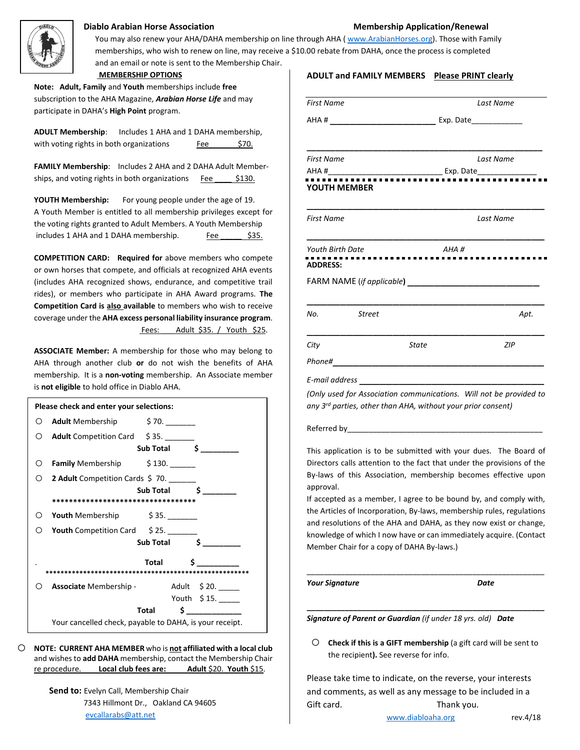

## **Diablo Arabian Horse Association Membership Application/Renewal**

You may also renew your AHA/DAHA membership on line through AHA ( [www.ArabianHorses.org\)](http://www.arabianhorses.org/). Those with Family memberships, who wish to renew on line, may receive a \$10.00 rebate from DAHA, once the process is completed and an email or note is sent to the Membership Chair.  **MEMBERSHIP OPTIONS**

**Note: Adult, Family** and **Youth** memberships include **free** subscription to the AHA Magazine, *Arabian Horse Life* and may participate in DAHA's **High Point** program.

**ADULT Membership**: Includes 1 AHA and 1 DAHA membership, with voting rights in both organizations  $Fee$   $$70.$ 

**FAMILY Membership**: Includes 2 AHA and 2 DAHA Adult Memberships, and voting rights in both organizations Fee \$130.

**YOUTH Membership:** For young people under the age of 19. A Youth Member is entitled to all membership privileges except for the voting rights granted to Adult Members. A Youth Membership includes 1 AHA and 1 DAHA membership. Fee \$35.

**COMPETITION CARD: Required for** above members who compete or own horses that compete, and officials at recognized AHA events (includes AHA recognized shows, endurance, and competitive trail rides), or members who participate in AHA Award programs. **The Competition Card is also available** to members who wish to receive coverage under the **AHA excess personal liability insurance program**. Fees: Adult \$35. / Youth \$25.

**ASSOCIATE Member:** A membership for those who may belong to AHA through another club **or** do not wish the benefits of AHA membership. It is a **non-voting** membership. An Associate member is **not eligible** to hold office in Diablo AHA.

| Please check and enter your selections:                 |                                          |                         |               |  |  |
|---------------------------------------------------------|------------------------------------------|-------------------------|---------------|--|--|
|                                                         | O Adult Membership \$70.                 |                         |               |  |  |
|                                                         | O Adult Competition Card \$35.           |                         |               |  |  |
|                                                         |                                          | Sub Total $\frac{1}{2}$ |               |  |  |
|                                                         | O <b>Family</b> Membership \$130. ______ |                         |               |  |  |
|                                                         | O 2 Adult Competition Cards \$70.        |                         |               |  |  |
|                                                         |                                          | Sub Total               | Ś.            |  |  |
| ***********************************                     |                                          |                         |               |  |  |
|                                                         | $\circ$ Youth Membership $\circ$ 35.     |                         |               |  |  |
| ( )                                                     | Youth Competition Card \$25.             |                         |               |  |  |
|                                                         |                                          | Sub Total \$            |               |  |  |
|                                                         |                                          | Total                   | Ś             |  |  |
|                                                         |                                          |                         |               |  |  |
|                                                         | <b>Associate</b> Membership -            |                         | Adult \$20.   |  |  |
|                                                         |                                          |                         | Youth \$15.   |  |  |
|                                                         |                                          | Total                   | $\sim$ $\sim$ |  |  |
| Your cancelled check, payable to DAHA, is your receipt. |                                          |                         |               |  |  |

o **NOTE: CURRENT AHA MEMBER** who is **not affiliated with a local club**  and wishes to **add DAHA** membership, contact the Membership Chair re procedure. **Local club fees are: Adult** \$20. **Youth** \$15.

> **Send to:** Evelyn Call, Membership Chair 7343 Hillmont Dr., Oakland CA 94605 [evcallarabs@att.net](mailto:evcallarabs@att.net)

| <b>ADULT and FAMILY MEMBERS</b>                                                                                                                                                                                                                | <b>Please PRINT clearly</b> |  |
|------------------------------------------------------------------------------------------------------------------------------------------------------------------------------------------------------------------------------------------------|-----------------------------|--|
| <b>First Name</b>                                                                                                                                                                                                                              | Last Name                   |  |
|                                                                                                                                                                                                                                                |                             |  |
| <b>First Name</b>                                                                                                                                                                                                                              | Last Name                   |  |
| YOUTH MEMBER                                                                                                                                                                                                                                   |                             |  |
| First Name                                                                                                                                                                                                                                     | Last Name                   |  |
| <b>Youth Birth Date</b><br><b>ADDRESS:</b>                                                                                                                                                                                                     | AHA#                        |  |
|                                                                                                                                                                                                                                                |                             |  |
| No.<br><b>Street</b>                                                                                                                                                                                                                           | Apt.                        |  |
| City<br><b>State</b>                                                                                                                                                                                                                           | <b>ZIP</b>                  |  |
| Phone#<br><u> 1989 - Johann John Stein, markin fan it ferstjer fan it ferstjer fan it ferstjer fan it ferstjer fan it ferstjer fan it ferstjer fan it ferstjer fan it ferstjer fan it ferstjer fan it ferstjer fan it ferstjer fan it fers</u> |                             |  |
| E-mail address ______________________________                                                                                                                                                                                                  |                             |  |
| (Only used for Association communications. Will not be provided to<br>any 3 <sup>rd</sup> parties, other than AHA, without your prior consent)                                                                                                 |                             |  |
|                                                                                                                                                                                                                                                |                             |  |
| This application is to be submitted with your dues. The Board of<br>Directors calls attention to the fact that under the provisions of the<br>By-laws of this Association, membership becomes effective upon                                   |                             |  |

If accepted as a member, I agree to be bound by, and comply with, the Articles of Incorporation, By-laws, membership rules, regulations and resolutions of the AHA and DAHA, as they now exist or change, knowledge of which I now have or can immediately acquire. (Contact Member Chair for a copy of DAHA By-laws.)

\_\_\_\_\_\_\_\_\_\_\_\_\_\_\_\_\_\_\_\_\_\_\_\_\_\_\_\_\_\_\_\_\_\_\_\_\_\_\_\_\_\_\_\_\_\_\_\_\_\_\_\_\_\_\_\_

**\_\_\_\_\_\_\_\_\_\_\_\_\_\_\_\_\_\_\_\_\_\_\_\_\_\_\_\_\_\_\_\_\_\_\_\_\_\_\_\_\_\_\_\_\_\_\_\_\_\_\_\_\_\_\_\_**

*Your Signature Date*

approval.

*Signature of Parent or Guardian (if under 18 yrs. old) Date*

 $\circ$  **Check if this is a GIFT membership** (a gift card will be sent to the recipient**).** See reverse for info.

Please take time to indicate, on the reverse, your interests and comments, as well as any message to be included in a Gift card. Thank you.

[www.diabloaha.org](http://www.diabloaha.org/) rev.4/18